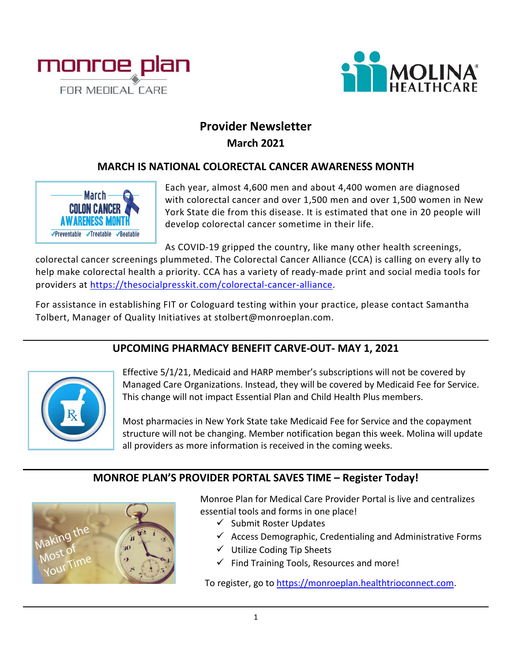



# **Provider Newsletter March 2021**

### **MARCH IS NATIONAL COLORECTAL CANCER AWARENESS MONTH**



Each year, almost 4,600 men and about 4,400 women are diagnosed with colorectal cancer and over 1,500 men and over 1,500 women in New York State die from this disease. It is estimated that one in 20 people will develop colorectal cancer sometime in their life.

As COVID-19 gripped the country, like many other health screenings,

colorectal cancer screenings plummeted. The Colorectal Cancer Alliance (CCA) is calling on every ally to help make colorectal health a priority. CCA has a variety of ready-made print and social media tools for providers at [https://thesocialpresskit.com/colorectal-cancer-alliance.](https://thesocialpresskit.com/colorectal-cancer-alliance)

For assistance in establishing FIT or Cologuard testing within your practice, please contact Samantha Tolbert, Manager of Quality Initiatives at stolbert@monroeplan.com.

## **UPCOMING PHARMACY BENEFIT CARVE-OUT- MAY 1, 2021**



Effective 5/1/21, Medicaid and HARP member's subscriptions will not be covered by Managed Care Organizations. Instead, they will be covered by Medicaid Fee for Service. This change will not impact Essential Plan and Child Health Plus members.

Most pharmacies in New York State take Medicaid Fee for Service and the copayment structure will not be changing. Member notification began this week. Molina will update all providers as more information is received in the coming weeks.

### **MONROE PLAN'S PROVIDER PORTAL SAVES TIME – Register Today!**



Monroe Plan for Medical Care Provider Portal is live and centralizes essential tools and forms in one place!

- $\checkmark$  Submit Roster Updates
- $\checkmark$  Access Demographic, Credentialing and Administrative Forms
- $\checkmark$  Utilize Coding Tip Sheets
- $\checkmark$  Find Training Tools, Resources and more!

To register, go to [https://monroeplan.healthtrioconnect.com.](https://monroeplan.healthtrioconnect.com/)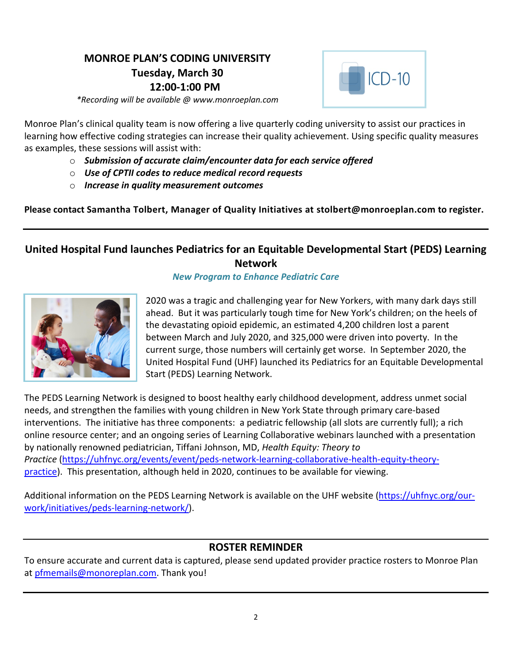## **MONROE PLAN'S CODING UNIVERSITY Tuesday, March 30 12:00-1:00 PM**



*\*Recording will be available @ www.monroeplan.com*

Monroe Plan's clinical quality team is now offering a live quarterly coding university to assist our practices in learning how effective coding strategies can increase their quality achievement. Using specific quality measures as examples, these sessions will assist with:

- o *Submission of accurate claim/encounter data for each service offered*
- o *Use of CPTII codes to reduce medical record requests*
- o *Increase in quality measurement outcomes*

**Please contact Samantha Tolbert, Manager of Quality Initiatives at stolbert@monroeplan.com to register.** 

### **United Hospital Fund launches Pediatrics for an Equitable Developmental Start (PEDS) Learning Network**

#### *New Program to Enhance Pediatric Care*



2020 was a tragic and challenging year for New Yorkers, with many dark days still ahead. But it was particularly tough time for New York's children; on the heels of the devastating opioid epidemic, an estimated 4,200 children lost a parent between March and July 2020, and 325,000 were driven into poverty. In the current surge, those numbers will certainly get worse. In September 2020, the United Hospital Fund (UHF) launched its Pediatrics for an Equitable Developmental Start (PEDS) Learning Network.

The PEDS Learning Network is designed to boost healthy early childhood development, address unmet social needs, and strengthen the families with young children in New York State through primary care-based interventions. The initiative has three components: a pediatric fellowship (all slots are currently full); a rich online resource center; and an ongoing series of Learning Collaborative webinars launched with a presentation by nationally renowned pediatrician, Tiffani Johnson, MD, *Health Equity: Theory to Practice* [\(https://uhfnyc.org/events/event/peds-network-learning-collaborative-health-equity-theory](https://uhfnyc.org/events/event/peds-network-learning-collaborative-health-equity-theory-practice)[practice\)](https://uhfnyc.org/events/event/peds-network-learning-collaborative-health-equity-theory-practice). This presentation, although held in 2020, continues to be available for viewing.

Additional information on the PEDS Learning Network is available on the UHF website [\(https://uhfnyc.org/our](https://uhfnyc.org/our-work/initiatives/peds-learning-network/)[work/initiatives/peds-learning-network/\)](https://uhfnyc.org/our-work/initiatives/peds-learning-network/).

## **ROSTER REMINDER**

To ensure accurate and current data is captured, please send updated provider practice rosters to Monroe Plan at [pfmemails@monoreplan.com.](mailto:pfmemails@monoreplan.com) Thank you!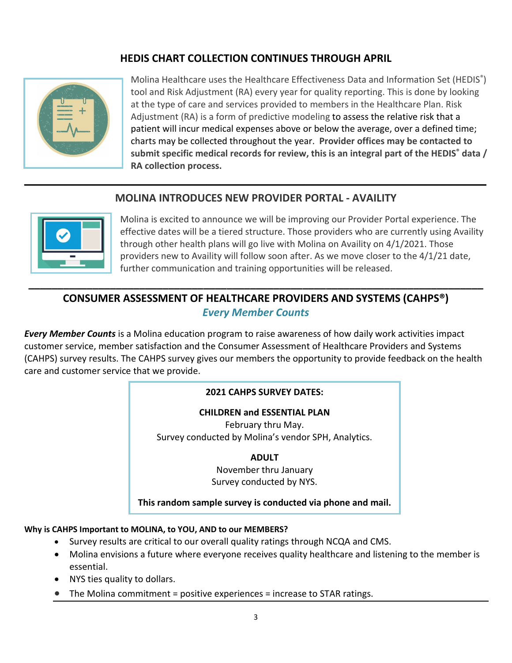## **HEDIS CHART COLLECTION CONTINUES THROUGH APRIL**



Molina Healthcare uses the Healthcare Effectiveness Data and Information Set (HEDIS®) tool and Risk Adjustment (RA) every year for quality reporting. This is done by looking at the type of care and services provided to members in the Healthcare Plan. Risk Adjustment (RA) is a form of predictive modeling to assess the relative risk that a patient will incur medical expenses above or below the average, over a defined time; charts may be collected throughout the year. **Provider offices may be contacted to submit specific medical records for review, this is an integral part of the HEDIS® data / RA collection process.**

### **MOLINA INTRODUCES NEW PROVIDER PORTAL - AVAILITY**



Molina is excited to announce we will be improving our Provider Portal experience. The effective dates will be a tiered structure. Those providers who are currently using Availity through other health plans will go live with Molina on Availity on 4/1/2021. Those providers new to Availity will follow soon after. As we move closer to the 4/1/21 date, further communication and training opportunities will be released.

## **CONSUMER ASSESSMENT OF HEALTHCARE PROVIDERS AND SYSTEMS (CAHPS®)** *Every Member Counts*

**\_\_\_\_\_\_\_\_\_\_\_\_\_\_\_\_\_\_\_\_\_\_\_\_\_\_\_\_\_\_\_\_\_\_\_\_\_\_\_\_\_\_\_\_\_\_\_\_\_\_\_\_\_\_\_\_\_\_\_\_\_\_\_\_\_\_\_\_\_\_\_\_\_\_\_\_\_\_**

*Every Member Counts* is a Molina education program to raise awareness of how daily work activities impact customer service, member satisfaction and the Consumer Assessment of Healthcare Providers and Systems (CAHPS) survey results. The CAHPS survey gives our members the opportunity to provide feedback on the health care and customer service that we provide.

#### **2021 CAHPS SURVEY DATES:**

#### **CHILDREN and ESSENTIAL PLAN**

February thru May. Survey conducted by Molina's vendor SPH, Analytics.

#### **ADULT**

November thru January Survey conducted by NYS.

#### **This random sample survey is conducted via phone and mail.**

#### **Why is CAHPS Important to MOLINA, to YOU, AND to our MEMBERS?**

- Survey results are critical to our overall quality ratings through NCQA and CMS.
- Molina envisions a future where everyone receives quality healthcare and listening to the member is essential.
- NYS ties quality to dollars.
- The Molina commitment = positive experiences = increase to STAR ratings.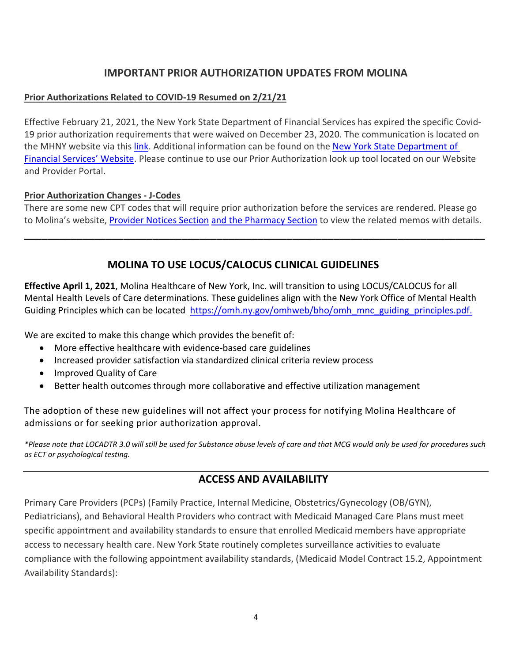### **IMPORTANT PRIOR AUTHORIZATION UPDATES FROM MOLINA**

#### **Prior Authorizations Related to COVID-19 Resumed on 2/21/21**

Effective February 21, 2021, the New York State Department of Financial Services has expired the specific Covid-19 prior authorization requirements that were waived on December 23, 2020. The communication is located on the MHNY website via this [link.](https://www.molinahealthcare.com/-/media/Molina/PublicWebsite/PDF/Providers/ny/medicaid/Prior-Auths-resume-as-of-022121.pdf) Additional information can be found on th[e New York State Department of](https://www.dfs.ny.gov/industry_guidance/circular_letters/cl2020_17)  [Financial Services' Website.](https://www.dfs.ny.gov/industry_guidance/circular_letters/cl2020_17) Please continue to use our Prior Authorization look up tool located on our Website and Provider Portal.

#### **Prior Authorization Changes - J-Codes**

There are some new CPT codes that will require prior authorization before the services are rendered. Please go to Molina's website, [Provider Notices Section](https://urldefense.com/v3/__http:/landingpage.experiture.com/EmailClickTrack.aspx?em=jennifer.damiano@molinahealthcare.com;cari.l.radell@rrd.com&lid=340972&cid=213280&pid=1&eid=*5E*5Eunsubscribescheduleid*5E*5E&ht=https&gName=https*3a*2f*2fwww.molinahealthcare.com*2fproviders*2fny*2fmedicaid*2fcomm*2fbulletin.aspx&w=www&gurl=https:**Awww.molinahealthcare.com*providers*ny*medicaid*comm*bulletin.aspx__;JSUlJSUlJSUlJSUlLy8vLy8vLw!!DOw_8Fim!Y4KxhJYyFxb3g0AsJGWPKwqu4fOaOoSctWrc1r57GAcG_U_q7mtt4FPJpNpzG5IWon2y7Ny4$) [and the Pharmacy Section](https://urldefense.com/v3/__http:/landingpage.experiture.com/EmailClickTrack.aspx?em=jennifer.damiano@molinahealthcare.com;cari.l.radell@rrd.com&lid=340972&cid=213280&pid=1&eid=*5E*5Eunsubscribescheduleid*5E*5E&ht=https&gName=https*3a*2f*2fwww.molinahealthcare.com*2fproviders*2fny*2fmedicaid*2fdrug*2fauthorization.aspx&w=www&gurl=https:**Awww.molinahealthcare.com*providers*ny*medicaid*drug*authorization.aspx__;JSUlJSUlJSUlJSUlLy8vLy8vLw!!DOw_8Fim!Y4KxhJYyFxb3g0AsJGWPKwqu4fOaOoSctWrc1r57GAcG_U_q7mtt4FPJpNpzG5IWomYz9HVs$) to view the related memos with details.

**\_\_\_\_\_\_\_\_\_\_\_\_\_\_\_\_\_\_\_\_\_\_\_\_\_\_\_\_\_\_\_\_\_\_\_\_\_\_\_\_\_\_\_\_\_\_\_\_\_\_\_\_\_\_\_\_\_\_\_\_\_\_\_\_\_\_\_\_\_\_\_\_\_\_\_\_\_\_\_**

### **MOLINA TO USE LOCUS/CALOCUS CLINICAL GUIDELINES**

**Effective April 1, 2021**, Molina Healthcare of New York, Inc. will transition to using LOCUS/CALOCUS for all Mental Health Levels of Care determinations. These guidelines align with the New York Office of Mental Health Guiding Principles which can be located [https://omh.ny.gov/omhweb/bho/omh\\_mnc\\_guiding\\_principles.pdf.](https://omh.ny.gov/omhweb/bho/omh_mnc_guiding_principles.pdf)

We are excited to make this change which provides the benefit of:

- More effective healthcare with evidence-based care guidelines
- Increased provider satisfaction via standardized clinical criteria review process
- Improved Quality of Care
- Better health outcomes through more collaborative and effective utilization management

The adoption of these new guidelines will not affect your process for notifying Molina Healthcare of admissions or for seeking prior authorization approval.

*\*Please note that LOCADTR 3.0 will still be used for Substance abuse levels of care and that MCG would only be used for procedures such as ECT or psychological testing.* 

### **ACCESS AND AVAILABILITY**

Primary Care Providers (PCPs) (Family Practice, Internal Medicine, Obstetrics/Gynecology (OB/GYN), Pediatricians), and Behavioral Health Providers who contract with Medicaid Managed Care Plans must meet specific appointment and availability standards to ensure that enrolled Medicaid members have appropriate access to necessary health care. New York State routinely completes surveillance activities to evaluate compliance with the following appointment availability standards, (Medicaid Model Contract 15.2, Appointment Availability Standards):